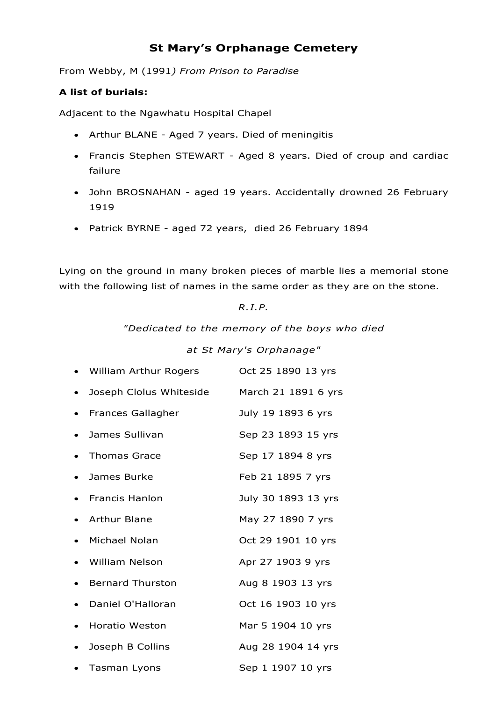# **St Mary's Orphanage Cemetery**

From Webby, M (1991*) From Prison to Paradise*

## **A list of burials:**

Adjacent to the Ngawhatu Hospital Chapel

- Arthur BLANE Aged 7 years. Died of meningitis
- Francis Stephen STEWART Aged 8 years. Died of croup and cardiac failure
- John BROSNAHAN aged 19 years. Accidentally drowned 26 February 1919
- Patrick BYRNE aged 72 years, died 26 February 1894

Lying on the ground in many broken pieces of marble lies a memorial stone with the following list of names in the same order as they are on the stone.

### *R.I.P.*

*"Dedicated to the memory of the boys who died*

### *at St Mary's Orphanage"*

| • William Arthur Rogers  | Oct 25 1890 13 yrs  |
|--------------------------|---------------------|
| Joseph Clolus Whiteside  | March 21 1891 6 yrs |
| <b>Frances Gallagher</b> | July 19 1893 6 yrs  |
| James Sullivan           | Sep 23 1893 15 yrs  |
| <b>Thomas Grace</b>      | Sep 17 1894 8 yrs   |
| James Burke              | Feb 21 1895 7 yrs   |
| <b>Francis Hanlon</b>    | July 30 1893 13 yrs |
| <b>Arthur Blane</b>      | May 27 1890 7 yrs   |
| Michael Nolan            | Oct 29 1901 10 yrs  |
| <b>William Nelson</b>    | Apr 27 1903 9 yrs   |
| <b>Bernard Thurston</b>  | Aug 8 1903 13 yrs   |
| Daniel O'Halloran        | Oct 16 1903 10 yrs  |
| <b>Horatio Weston</b>    | Mar 5 1904 10 yrs   |
| Joseph B Collins         | Aug 28 1904 14 yrs  |
| <b>Tasman Lyons</b>      | Sep 1 1907 10 yrs   |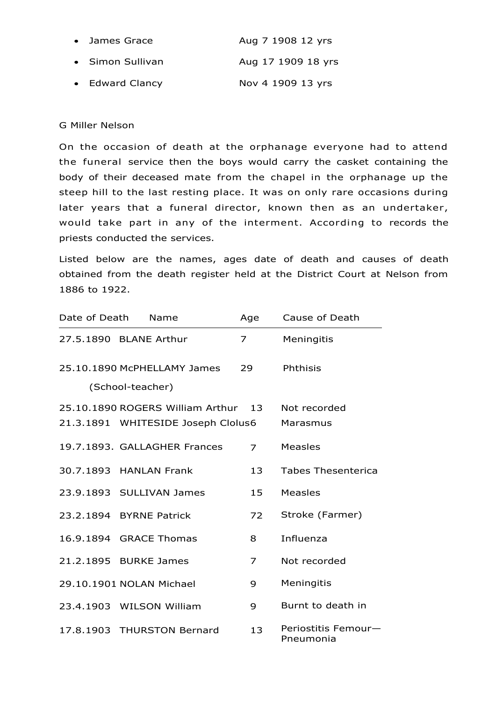| • James Grace    | Aug 7 1908 12 yrs  |
|------------------|--------------------|
| • Simon Sullivan | Aug 17 1909 18 yrs |
| • Edward Clancy  | Nov 4 1909 13 yrs  |

#### G Miller Nelson

On the occasion of death at the orphanage everyone had to attend the funeral service then the boys would carry the casket containing the body of their deceased mate from the chapel in the orphanage up the steep hill to the last resting place. It was on only rare occasions during later years that a funeral director, known then as an undertaker, would take part in any of the interment. According to records the priests conducted the services.

Listed below are the names, ages date of death and causes of death obtained from the death register held at the District Court at Nelson from 1886 to 1922.

| Date of Death | Name                                                                      | Age            | Cause of Death                   |
|---------------|---------------------------------------------------------------------------|----------------|----------------------------------|
|               | 27.5.1890 BLANE Arthur                                                    | $\overline{z}$ | Meningitis                       |
|               | 25.10.1890 McPHELLAMY James<br>(School-teacher)                           | 29             | Phthisis                         |
|               | 25.10.1890 ROGERS William Arthur 13<br>21.3.1891 WHITESIDE Joseph Clolus6 |                | Not recorded<br>Marasmus         |
|               | 19.7.1893. GALLAGHER Frances                                              | $\overline{7}$ | Measles                          |
|               | 30.7.1893 HANLAN Frank                                                    | 13             | <b>Tabes Thesenterica</b>        |
|               | 23.9.1893 SULLIVAN James                                                  | 15             | <b>Measles</b>                   |
|               | 23.2.1894 BYRNE Patrick                                                   | 72             | Stroke (Farmer)                  |
|               | 16.9.1894 GRACE Thomas                                                    | 8              | Influenza                        |
|               | 21.2.1895 BURKE James                                                     | 7              | Not recorded                     |
|               | 29.10.1901 NOLAN Michael                                                  | 9              | Meningitis                       |
|               | 23.4.1903 WILSON William                                                  | 9              | Burnt to death in                |
|               | 17.8.1903 THURSTON Bernard                                                | 13             | Periostitis Femour-<br>Pneumonia |